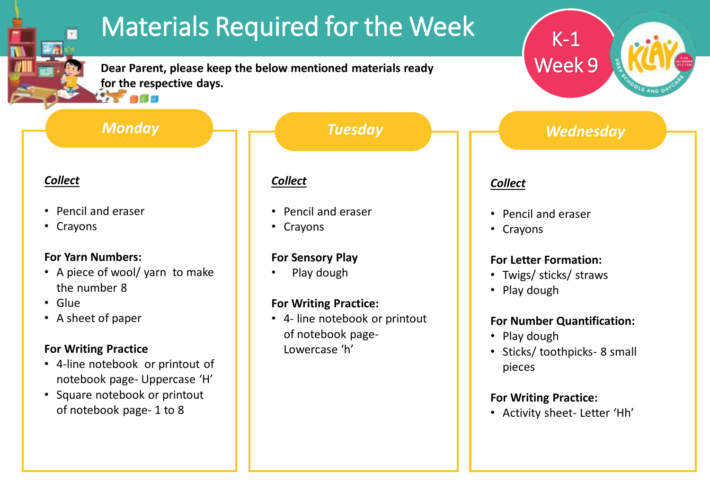## Materials Required for the Week

**Dear Parent, please keep the below mentioned materials ready for the respective days. ANTIQUE** 

#### *Monday Tuesday*

#### *Collect*

- Pencil and eraser
- Crayons

#### **For Yarn Numbers:**

- A piece of wool/ yarn to make the number 8
- Glue
- A sheet of paper

#### **For Writing Practice**

- 4-line notebook or printout of notebook page- Uppercase 'H'
- Square notebook or printout of notebook page- 1 to 8

#### *Collect*

- Pencil and eraser
- Crayons

#### **For Sensory Play**

Play dough

#### **For Writing Practice:**

• 4- line notebook or printout of notebook page-Lowercase 'h'

#### *Collect*

- Pencil and eraser
- Crayons

#### **For Letter Formation:**

- Twigs/ sticks/ straws
- Play dough

#### **For Number Quantification:**

- Play dough
- Sticks/ toothpicks- 8 small pieces

#### **For Writing Practice:**

• Activity sheet- Letter 'Hh'



*Wednesday*